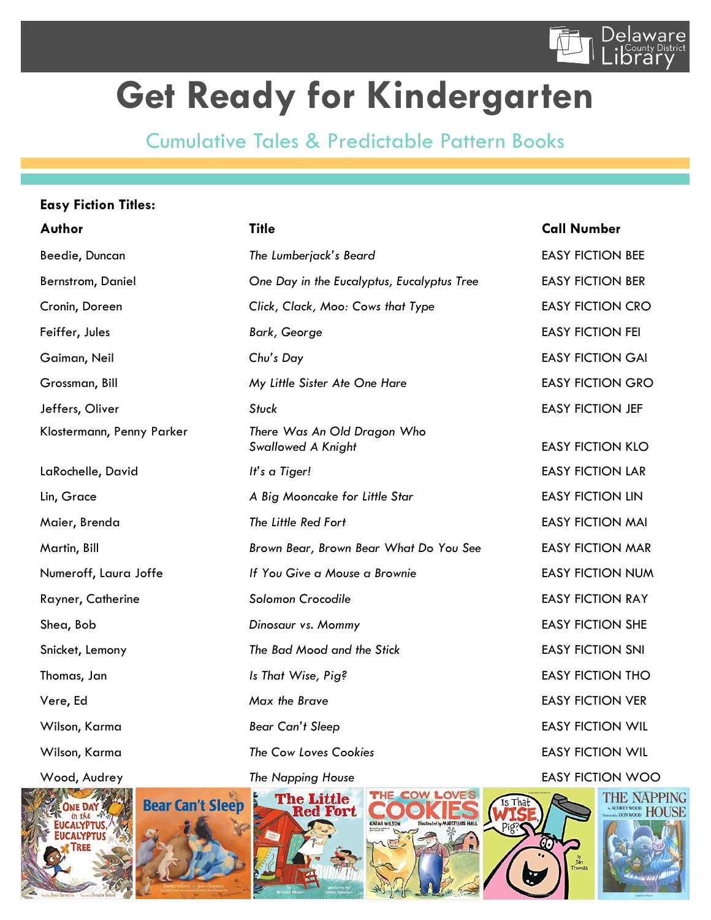

## **Get Ready for Kindergarten**

Cumulative Tales & Predictable Pattern Books

#### **Easy Fiction Titles:**

| Author                    | <b>Title</b>                                             | <b>Call Number</b>      |
|---------------------------|----------------------------------------------------------|-------------------------|
| Beedie, Duncan            | The Lumberjack's Beard                                   | <b>EASY FICTION BEE</b> |
| Bernstrom, Daniel         | One Day in the Eucalyptus, Eucalyptus Tree               | <b>EASY FICTION BER</b> |
| Cronin, Doreen            | Click, Clack, Moo: Cows that Type                        | <b>EASY FICTION CRO</b> |
| Feiffer, Jules            | <b>Bark, George</b>                                      | <b>EASY FICTION FEI</b> |
| Gaiman, Neil              | Chu's Day                                                | <b>EASY FICTION GAI</b> |
| Grossman, Bill            | My Little Sister Ate One Hare                            | <b>EASY FICTION GRO</b> |
| Jeffers, Oliver           | <b>Stuck</b>                                             | <b>EASY FICTION JEF</b> |
| Klostermann, Penny Parker | There Was An Old Dragon Who<br><b>Swallowed A Knight</b> | <b>EASY FICTION KLO</b> |
| LaRochelle, David         | It's a Tiger!                                            | <b>EASY FICTION LAR</b> |
| Lin, Grace                | A Big Mooncake for Little Star                           | <b>EASY FICTION LIN</b> |
| Maier, Brenda             | The Little Red Fort                                      | <b>EASY FICTION MAI</b> |
| Martin, Bill              | Brown Bear, Brown Bear What Do You See                   | <b>EASY FICTION MAR</b> |
| Numeroff, Laura Joffe     | If You Give a Mouse a Brownie                            | <b>EASY FICTION NUM</b> |
| Rayner, Catherine         | Solomon Crocodile                                        | <b>EASY FICTION RAY</b> |
| Shea, Bob                 | Dinosaur vs. Mommy                                       | <b>EASY FICTION SHE</b> |
| Snicket, Lemony           | The Bad Mood and the Stick                               | <b>EASY FICTION SNI</b> |
| Thomas, Jan               | Is That Wise, Pig?                                       | <b>EASY FICTION THO</b> |
| Vere, Ed                  | Max the Brave                                            | <b>EASY FICTION VER</b> |
| Wilson, Karma             | <b>Bear Can't Sleep</b>                                  | <b>EASY FICTION WIL</b> |
| Wilson, Karma             | The Cow Loves Cookies                                    | <b>EASY FICTION WIL</b> |
| Wood, Audrey              | <b>The Napping House</b>                                 | <b>EASY FICTION WOO</b> |